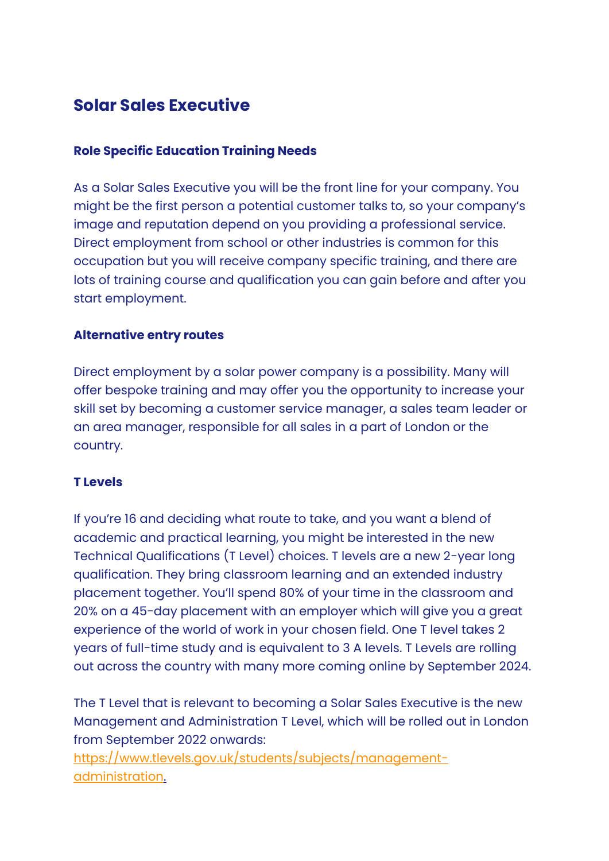# **Solar Sales Executive**

#### **Role Specific Education Training Needs**

As a Solar Sales Executive you will be the front line for your company. You might be the first person a potential customer talks to, so your company's image and reputation depend on you providing a professional service. Direct employment from school or other industries is common for this occupation but you will receive company specific training, and there are lots of training course and qualification you can gain before and after you start employment.

## **Alternative entry routes**

Direct employment by a solar power company is a possibility. Many will offer bespoke training and may offer you the opportunity to increase your skill set by becoming a customer service manager, a sales team leader or an area manager, responsible for all sales in a part of London or the country.

#### **T Levels**

If you're 16 and deciding what route to take, and you want a blend of academic and practical learning, you might be interested in the new Technical Qualifications (T Level) choices. T levels are a new 2-year long qualification. They bring classroom learning and an extended industry placement together. You'll spend 80% of your time in the classroom and 20% on a 45-day placement with an employer which will give you a great experience of the world of work in your chosen field. One T level takes 2 years of full-time study and is equivalent to 3 A levels. T Levels are rolling out across the country with many more coming online by September 2024.

The T Level that is relevant to becoming a Solar Sales Executive is the new Management and Administration T Level, which will be rolled out in London from September 2022 onwards:

[https://www.tlevels.gov.uk/students/subjects/management](https://www.tlevels.gov.uk/students/subjects/management-administration)[administration.](https://www.tlevels.gov.uk/students/subjects/management-administration)